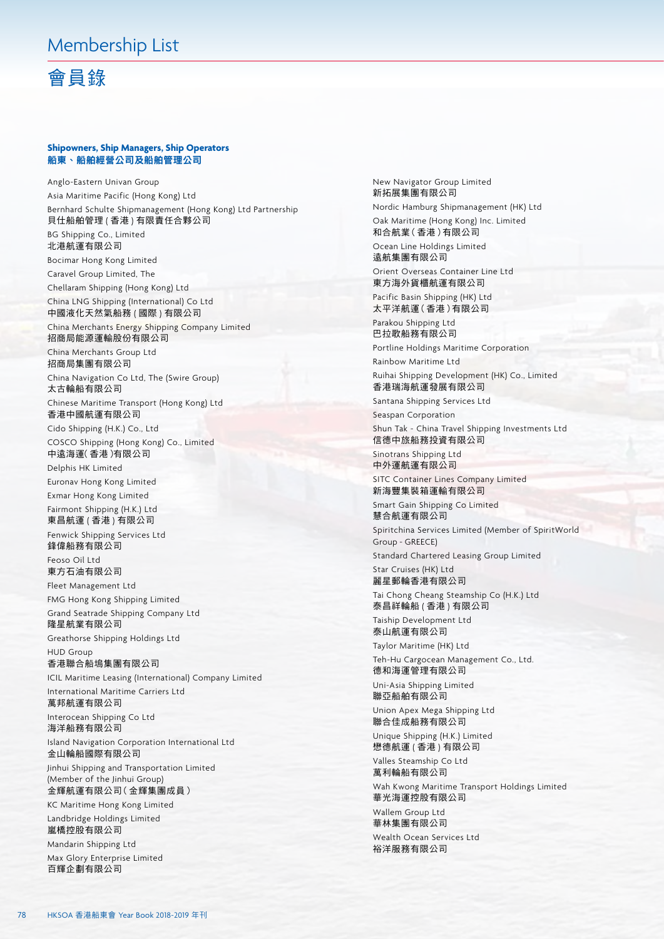## Membership List

# 會員錄

## **Shipowners, Ship Managers, Ship Operators** 船東、船舶經營公司及船舶管理公司

Anglo-Eastern Univan Group Asia Maritime Pacific (Hong Kong) Ltd Bernhard Schulte Shipmanagement (Hong Kong) Ltd Partnership 貝仕船舶管理 ( 香港 ) 有限責任合夥公司 BG Shipping Co., Limited 北港航運有限公司 Bocimar Hong Kong Limited Caravel Group Limited, The Chellaram Shipping (Hong Kong) Ltd China LNG Shipping (International) Co Ltd 中國液化天然氣船務 ( 國際 ) 有限公司 China Merchants Energy Shipping Company Limited 招商局能源運輸股份有限公司 China Merchants Group Ltd 招商局集團有限公司 China Navigation Co Ltd, The (Swire Group) 太古輪船有限公司 Chinese Maritime Transport (Hong Kong) Ltd 香港中國航運有限公司 Cido Shipping (H.K.) Co., Ltd COSCO Shipping (Hong Kong) Co., Limited 中遠海運(香港)有限公司 Delphis HK Limited Euronav Hong Kong Limited Exmar Hong Kong Limited Fairmont Shipping (H.K.) Ltd 東昌航運 ( 香港 ) 有限公司 Fenwick Shipping Services Ltd 鋒偉船務有限公司 Feoso Oil Ltd 東方石油有限公司 Fleet Management Ltd FMG Hong Kong Shipping Limited Grand Seatrade Shipping Company Ltd 隆星航業有限公司 Greathorse Shipping Holdings Ltd HUD Group 香港聯合船塢集團有限公司 ICIL Maritime Leasing (International) Company Limited International Maritime Carriers Ltd 萬邦航運有限公司 Interocean Shipping Co Ltd 海洋船務有限公司 Island Navigation Corporation International Ltd 金山輪船國際有限公司 Jinhui Shipping and Transportation Limited (Member of the Jinhui Group)

金輝航運有限公司(金輝集團成員)

KC Maritime Hong Kong Limited Landbridge Holdings Limited 嵐橋控股有限公司 Mandarin Shipping Ltd Max Glory Enterprise Limited

百輝企劃有限公司

New Navigator Group Limited 新拓展集團有限公司 Nordic Hamburg Shipmanagement (HK) Ltd

Oak Maritime (Hong Kong) Inc. Limited 和合航業(香港)有限公司

Ocean Line Holdings Limited 遠航集團有限公司

Orient Overseas Container Line Ltd 東方海外貨櫃航運有限公司

Pacific Basin Shipping (HK) Ltd 太平洋航運(香港)有限公司 Parakou Shipping Ltd

巴拉歌船務有限公司 Portline Holdings Maritime Corporation

Rainbow Maritime Ltd

Ruihai Shipping Development (HK) Co., Limited 香港瑞海航運發展有限公司

Santana Shipping Services Ltd

Seaspan Corporation Shun Tak - China Travel Shipping Investments Ltd 信德中旅船務投資有限公司

Sinotrans Shipping Ltd 中外運航運有限公司

SITC Container Lines Company Limited 新海豐集裝箱運輸有限公司

Smart Gain Shipping Co Limited 慧合航運有限公司

Spiritchina Services Limited (Member of SpiritWorld Group - GREECE)

Standard Chartered Leasing Group Limited Star Cruises (HK) Ltd

麗星郵輪香港有限公司 Tai Chong Cheang Steamship Co (H.K.) Ltd 泰昌祥輪船 (香港) 有限公司

Taiship Development Ltd 泰山航運有限公司

Taylor Maritime (HK) Ltd Teh-Hu Cargocean Management Co., Ltd. 德和海運管理有限公司

Uni-Asia Shipping Limited 聯亞船舶有限公司 Union Apex Mega Shipping Ltd

聯合佳成船務有限公司 Unique Shipping (H.K.) Limited

懋德航運 ( 香港 ) 有限公司 Valles Steamship Co Ltd

萬利輪船有限公司 Wah Kwong Maritime Transport Holdings Limited 華光海運控股有限公司

Wallem Group Ltd 華林集團有限公司 Wealth Ocean Services Ltd 裕洋服務有限公司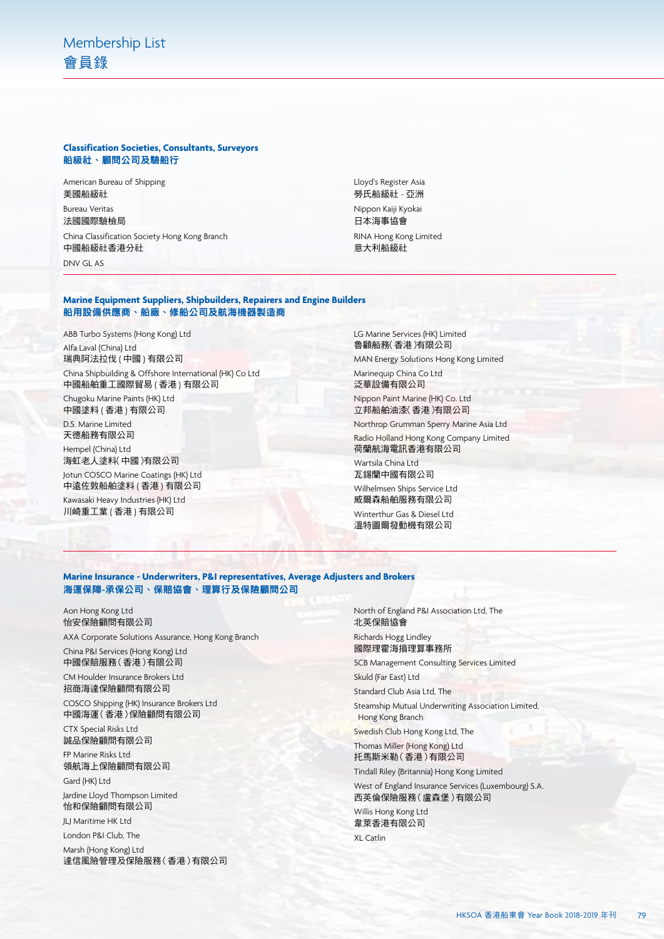### **Classification Societies, Consultants, Surveyors** 船級社、顧問公司及驗船行

American Bureau of Shipping 美國船級社

Bureau Veritas 法國國際驗檢局

China Classification Society Hong Kong Branch 中國船級社香港分社 DNV GL AS

Lloyd's Register Asia 勞氏船級社 - 亞洲 Nippon Kaiji Kyokai

日本海事協會 RINA Hong Kong Limited 意大利船級社

#### **Marine Equipment Suppliers, Shipbuilders, Repairers and Engine Builders**  船用設備供應商、船廠、修船公司及航海機器製造商

ABB Turbo Systems (Hong Kong) Ltd

Alfa Laval (China) Ltd 瑞典阿法拉伐 ( 中國 ) 有限公司 China Shipbuilding & Offshore International (HK) Co Ltd 中國船舶重工國際貿易 ( 香港 ) 有限公司 Chugoku Marine Paints (HK) Ltd

中國塗料 ( 香港 ) 有限公司 D.S. Marine Limited

天德船務有限公司 Hempel (China) Ltd 海虹老人塗料(中國)有限公司

Jotun COSCO Marine Coatings (HK) Ltd 中遠佐敦船舶塗料 ( 香港 ) 有限公司

Kawasaki Heavy Industries (HK) Ltd 川崎重工業 ( 香港 ) 有限公司

LG Marine Services (HK) Limited 魯顧船務(香港)有限公司 MAN Energy Solutions Hong Kong Limited

Marinequip China Co Ltd 泛華設備有限公司 Nippon Paint Marine (HK) Co. Ltd

立邦船舶油漆(香港)有限公司 Northrop Grumman Sperry Marine Asia Ltd

Radio Holland Hong Kong Company Limited 荷蘭航海電訊香港有限公司

Wartsila China Ltd 瓦錫蘭中國有限公司

Wilhelmsen Ships Service Ltd 威爾森船舶服務有限公司 Winterthur Gas & Diesel Ltd 溫特圖爾發動機有限公司

#### **Marine Insurance - Underwriters, P&I representatives, Average Adjusters and Brokers**  海運保障**-**承保公司、保賠協會、理算行及保險顧問公司

Aon Hong Kong Ltd 怡安保險顧問有限公司

AXA Corporate Solutions Assurance, Hong Kong Branch

China P&I Services (Hong Kong) Ltd 中國保賠服務(香港)有限公司

CM Houlder Insurance Brokers Ltd 招商海達保險顧問有限公司

COSCO Shipping (HK) Insurance Brokers Ltd 中國海運(香港)保險顧問有限公司

CTX Special Risks Ltd 誠品保險顧問有限公司

FP Marine Risks Ltd 領航海上保險顧問有限公司

Gard (HK) Ltd

Jardine Lloyd Thompson Limited 怡和保險顧問有限公司

JLJ Maritime HK Ltd

London P&I Club, The

Marsh (Hong Kong) Ltd 達信風險管理及保險服務(香港)有限公司 North of England P&I Association Ltd, The 北英保賠協會 Richards Hogg Lindley 國際理霍海損理算事務所

SCB Management Consulting Services Limited Skuld (Far East) Ltd

Standard Club Asia Ltd, The

Steamship Mutual Underwriting Association Limited, Hong Kong Branch

Swedish Club Hong Kong Ltd, The

Thomas Miller (Hong Kong) Ltd 托馬斯米勒(香港)有限公司

Tindall Riley (Britannia) Hong Kong Limited

West of England Insurance Services (Luxembourg) S.A. 西英倫保險服務(盧森堡)有限公司

Willis Hong Kong Ltd 韋萊香港有限公司 XL Catlin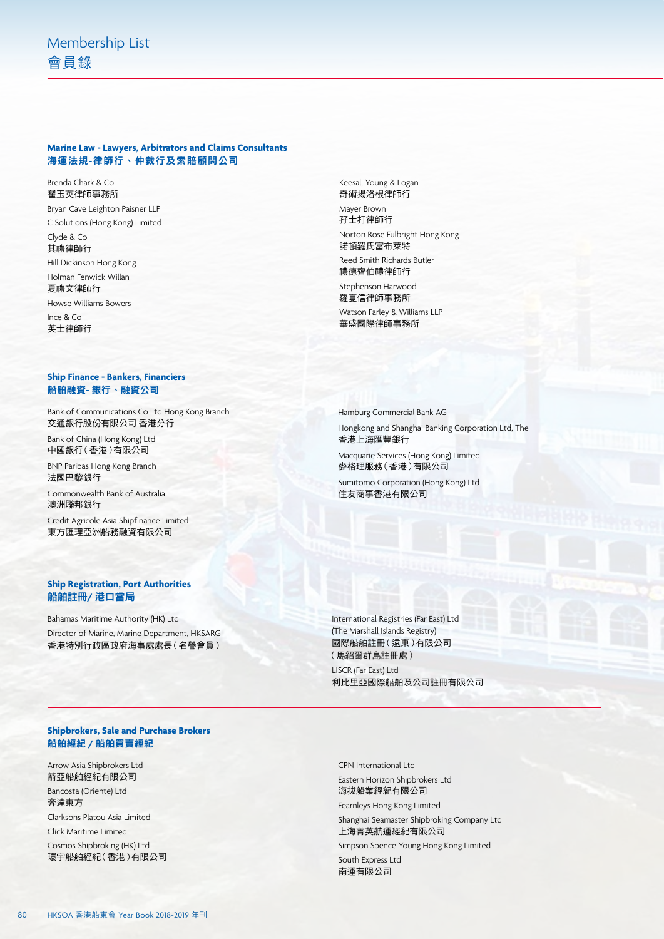### **Marine Law - Lawyers, Arbitrators and Claims Consultants** 海運法規**-**律師行、仲裁行及索賠顧問公司

#### Brenda Chark & Co 翟玉英律師事務所

Bryan Cave Leighton Paisner LLP C Solutions (Hong Kong) Limited Clyde & Co 其禮律師行 Hill Dickinson Hong Kong Holman Fenwick Willan 夏禮文律師行 Howse Williams Bowers Ince & Co 英士律師行

**Ship Finance - Bankers, Financiers**  船舶融資**-** 銀行、融資公司

Bank of Communications Co Ltd Hong Kong Branch 交通銀行股份有限公司 香港分行

Bank of China (Hong Kong) Ltd 中國銀行(香港)有限公司

BNP Paribas Hong Kong Branch 法國巴黎銀行

Commonwealth Bank of Australia 澳洲聯邦銀行

Credit Agricole Asia Shipfinance Limited 東方匯理亞洲船務融資有限公司

## **Ship Registration, Port Authorities** 船舶註冊**/** 港口當局

Bahamas Maritime Authority (HK) Ltd Director of Marine, Marine Department, HKSARG 香港特別行政區政府海事處處長(名譽會員)

Keesal, Young & Logan 奇術揚洛根律師行

Mayer Brown 孖士打律師行

Norton Rose Fulbright Hong Kong 諾頓羅氏富布萊特 Reed Smith Richards Butler 禮德齊伯禮律師行

Stephenson Harwood 羅夏信律師事務所

Watson Farley & Williams LLP 華盛國際律師事務所

Hamburg Commercial Bank AG

Hongkong and Shanghai Banking Corporation Ltd, The 香港上海匯豐銀行

Macquarie Services (Hong Kong) Limited 麥格理服務(香港)有限公司

Sumitomo Corporation (Hong Kong) Ltd 住友商事香港有限公司

International Registries (Far East) Ltd (The Marshall Islands Registry) 國際船舶註冊(遠東)有限公司 (馬紹爾群島註冊處) LISCR (Far East) Ltd 利比里亞國際船舶及公司註冊有限公司

#### **Shipbrokers, Sale and Purchase Brokers**  船舶經紀 **/** 船舶買賣經紀

Arrow Asia Shipbrokers Ltd 箭亞船舶經紀有限公司 Bancosta (Oriente) Ltd 奔達東方 Clarksons Platou Asia Limited Click Maritime Limited Cosmos Shipbroking (HK) Ltd 環宇船舶經紀(香港)有限公司 CPN International Ltd Eastern Horizon Shipbrokers Ltd 海拔船業經紀有限公司

Fearnleys Hong Kong Limited

Shanghai Seamaster Shipbroking Company Ltd 上海菁英航運經紀有限公司

Simpson Spence Young Hong Kong Limited South Express Ltd

南運有限公司